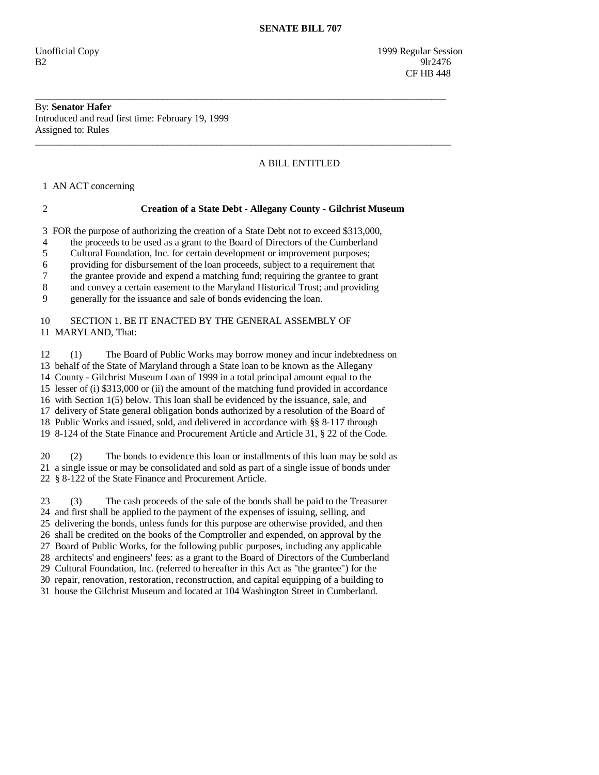Unofficial Copy 1999 Regular Session  $B2 \t\t 91r2476$ CF HB 448

#### By: **Senator Hafer**  Introduced and read first time: February 19, 1999 Assigned to: Rules

# A BILL ENTITLED

1 AN ACT concerning

## 2 **Creation of a State Debt - Allegany County - Gilchrist Museum**

\_\_\_\_\_\_\_\_\_\_\_\_\_\_\_\_\_\_\_\_\_\_\_\_\_\_\_\_\_\_\_\_\_\_\_\_\_\_\_\_\_\_\_\_\_\_\_\_\_\_\_\_\_\_\_\_\_\_\_\_\_\_\_\_\_\_\_\_\_\_\_\_\_\_\_\_\_\_\_\_\_\_\_\_

\_\_\_\_\_\_\_\_\_\_\_\_\_\_\_\_\_\_\_\_\_\_\_\_\_\_\_\_\_\_\_\_\_\_\_\_\_\_\_\_\_\_\_\_\_\_\_\_\_\_\_\_\_\_\_\_\_\_\_\_\_\_\_\_\_\_\_\_\_\_\_\_\_\_\_\_\_\_\_\_\_\_\_\_\_

3 FOR the purpose of authorizing the creation of a State Debt not to exceed \$313,000,

4 the proceeds to be used as a grant to the Board of Directors of the Cumberland

5 Cultural Foundation, Inc. for certain development or improvement purposes;

6 providing for disbursement of the loan proceeds, subject to a requirement that

7 the grantee provide and expend a matching fund; requiring the grantee to grant

8 and convey a certain easement to the Maryland Historical Trust; and providing

9 generally for the issuance and sale of bonds evidencing the loan.

## 10 SECTION 1. BE IT ENACTED BY THE GENERAL ASSEMBLY OF 11 MARYLAND, That:

 12 (1) The Board of Public Works may borrow money and incur indebtedness on 13 behalf of the State of Maryland through a State loan to be known as the Allegany 14 County - Gilchrist Museum Loan of 1999 in a total principal amount equal to the 15 lesser of (i) \$313,000 or (ii) the amount of the matching fund provided in accordance 16 with Section 1(5) below. This loan shall be evidenced by the issuance, sale, and 17 delivery of State general obligation bonds authorized by a resolution of the Board of 18 Public Works and issued, sold, and delivered in accordance with §§ 8-117 through 19 8-124 of the State Finance and Procurement Article and Article 31, § 22 of the Code.

 20 (2) The bonds to evidence this loan or installments of this loan may be sold as 21 a single issue or may be consolidated and sold as part of a single issue of bonds under 22 § 8-122 of the State Finance and Procurement Article.

 23 (3) The cash proceeds of the sale of the bonds shall be paid to the Treasurer 24 and first shall be applied to the payment of the expenses of issuing, selling, and 25 delivering the bonds, unless funds for this purpose are otherwise provided, and then 26 shall be credited on the books of the Comptroller and expended, on approval by the 27 Board of Public Works, for the following public purposes, including any applicable 28 architects' and engineers' fees: as a grant to the Board of Directors of the Cumberland 29 Cultural Foundation, Inc. (referred to hereafter in this Act as "the grantee") for the 30 repair, renovation, restoration, reconstruction, and capital equipping of a building to 31 house the Gilchrist Museum and located at 104 Washington Street in Cumberland.